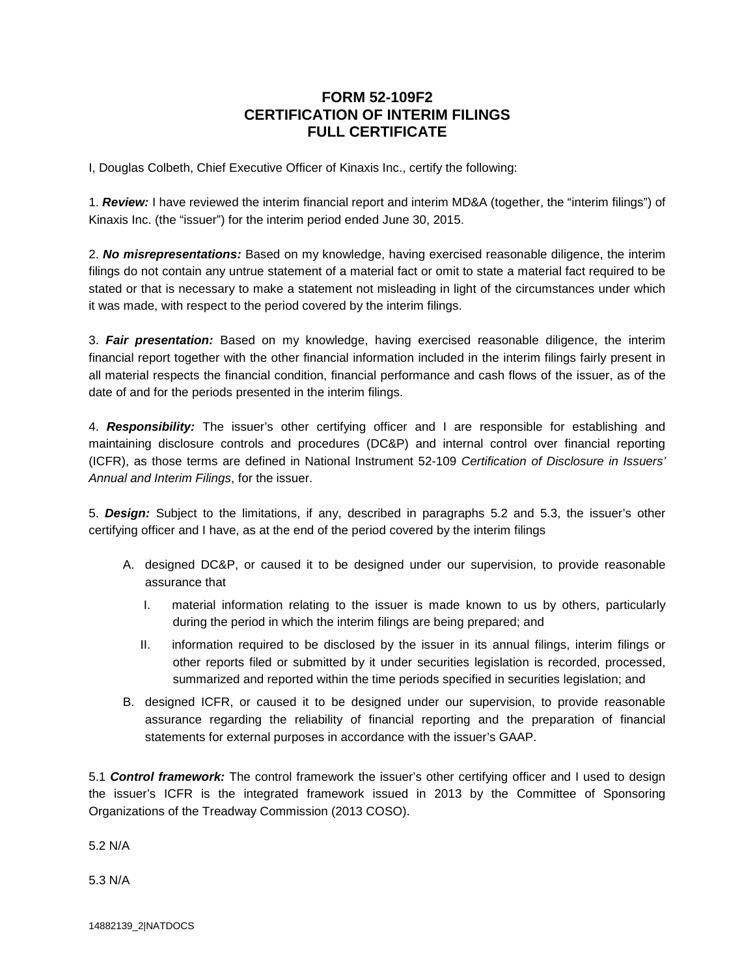## **FORM 52-109F2 CERTIFICATION OF INTERIM FILINGS FULL CERTIFICATE**

I, Douglas Colbeth, Chief Executive Officer of Kinaxis Inc., certify the following:

1. *Review:* I have reviewed the interim financial report and interim MD&A (together, the "interim filings") of Kinaxis Inc. (the "issuer") for the interim period ended June 30, 2015.

2. *No misrepresentations:* Based on my knowledge, having exercised reasonable diligence, the interim filings do not contain any untrue statement of a material fact or omit to state a material fact required to be stated or that is necessary to make a statement not misleading in light of the circumstances under which it was made, with respect to the period covered by the interim filings.

3. *Fair presentation:* Based on my knowledge, having exercised reasonable diligence, the interim financial report together with the other financial information included in the interim filings fairly present in all material respects the financial condition, financial performance and cash flows of the issuer, as of the date of and for the periods presented in the interim filings.

4. *Responsibility:* The issuer's other certifying officer and I are responsible for establishing and maintaining disclosure controls and procedures (DC&P) and internal control over financial reporting (ICFR), as those terms are defined in National Instrument 52-109 *Certification of Disclosure in Issuers' Annual and Interim Filings*, for the issuer.

5. *Design:* Subject to the limitations, if any, described in paragraphs 5.2 and 5.3, the issuer's other certifying officer and I have, as at the end of the period covered by the interim filings

- A. designed DC&P, or caused it to be designed under our supervision, to provide reasonable assurance that
	- I. material information relating to the issuer is made known to us by others, particularly during the period in which the interim filings are being prepared; and
	- II. information required to be disclosed by the issuer in its annual filings, interim filings or other reports filed or submitted by it under securities legislation is recorded, processed, summarized and reported within the time periods specified in securities legislation; and
- B. designed ICFR, or caused it to be designed under our supervision, to provide reasonable assurance regarding the reliability of financial reporting and the preparation of financial statements for external purposes in accordance with the issuer's GAAP.

5.1 *Control framework:* The control framework the issuer's other certifying officer and I used to design the issuer's ICFR is the integrated framework issued in 2013 by the Committee of Sponsoring Organizations of the Treadway Commission (2013 COSO).

5.2 N/A

5.3 N/A